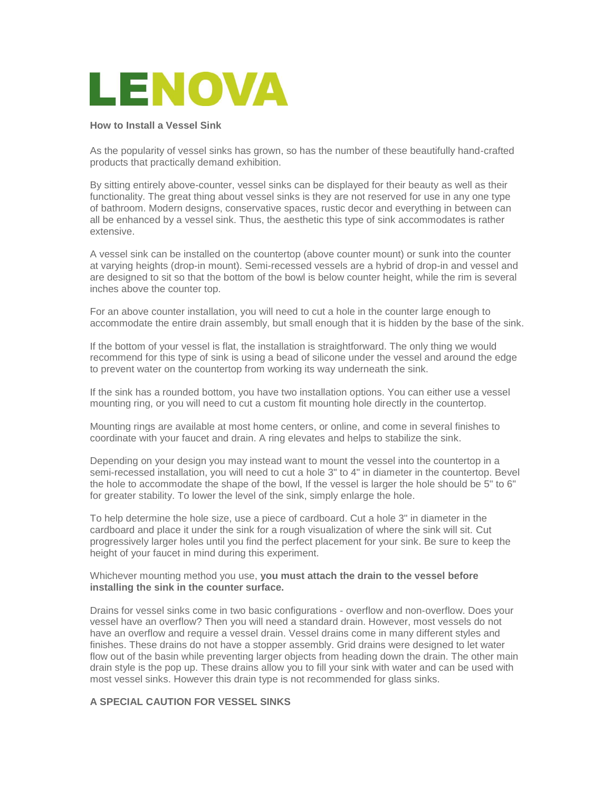

## **How to Install a Vessel Sink**

As the popularity of vessel sinks has grown, so has the number of these beautifully hand-crafted products that practically demand exhibition.

By sitting entirely above-counter, vessel sinks can be displayed for their beauty as well as their functionality. The great thing about vessel sinks is they are not reserved for use in any one type of bathroom. Modern designs, conservative spaces, rustic decor and everything in between can all be enhanced by a vessel sink. Thus, the aesthetic this type of sink accommodates is rather extensive.

A vessel sink can be installed on the countertop (above counter mount) or sunk into the counter at varying heights (drop-in mount). Semi-recessed vessels are a hybrid of drop-in and vessel and are designed to sit so that the bottom of the bowl is below counter height, while the rim is several inches above the counter top.

For an above counter installation, you will need to cut a hole in the counter large enough to accommodate the entire drain assembly, but small enough that it is hidden by the base of the sink.

If the bottom of your vessel is flat, the installation is straightforward. The only thing we would recommend for this type of sink is using a bead of silicone under the vessel and around the edge to prevent water on the countertop from working its way underneath the sink.

If the sink has a rounded bottom, you have two installation options. You can either use a vessel mounting ring, or you will need to cut a custom fit mounting hole directly in the countertop.

Mounting rings are available at most home centers, or online, and come in several finishes to coordinate with your faucet and drain. A ring elevates and helps to stabilize the sink.

Depending on your design you may instead want to mount the vessel into the countertop in a semi-recessed installation, you will need to cut a hole 3" to 4" in diameter in the countertop. Bevel the hole to accommodate the shape of the bowl, If the vessel is larger the hole should be 5" to 6" for greater stability. To lower the level of the sink, simply enlarge the hole.

To help determine the hole size, use a piece of cardboard. Cut a hole 3" in diameter in the cardboard and place it under the sink for a rough visualization of where the sink will sit. Cut progressively larger holes until you find the perfect placement for your sink. Be sure to keep the height of your faucet in mind during this experiment.

## Whichever mounting method you use, **you must attach the drain to the vessel before installing the sink in the counter surface.**

Drains for vessel sinks come in two basic configurations - overflow and non-overflow. Does your vessel have an overflow? Then you will need a standard drain. However, most vessels do not have an overflow and require a vessel drain. Vessel drains come in many different styles and finishes. These drains do not have a stopper assembly. Grid drains were designed to let water flow out of the basin while preventing larger objects from heading down the drain. The other main drain style is the pop up. These drains allow you to fill your sink with water and can be used with most vessel sinks. However this drain type is not recommended for glass sinks.

## **A SPECIAL CAUTION FOR VESSEL SINKS**